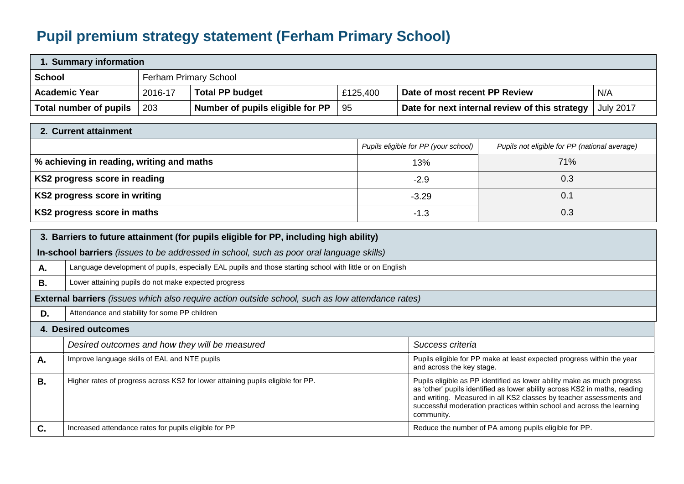## **Pupil premium strategy statement (Ferham Primary School)**

| 1. Summary information                                                                                          |                                                                                                                                  |                                                                                                                                                                                                                                                                                                                                                                                                        |                                                                                                 |                  |                                                                                       |                                                                                                     |     |  |  |
|-----------------------------------------------------------------------------------------------------------------|----------------------------------------------------------------------------------------------------------------------------------|--------------------------------------------------------------------------------------------------------------------------------------------------------------------------------------------------------------------------------------------------------------------------------------------------------------------------------------------------------------------------------------------------------|-------------------------------------------------------------------------------------------------|------------------|---------------------------------------------------------------------------------------|-----------------------------------------------------------------------------------------------------|-----|--|--|
| <b>School</b>                                                                                                   |                                                                                                                                  | <b>Ferham Primary School</b>                                                                                                                                                                                                                                                                                                                                                                           |                                                                                                 |                  |                                                                                       |                                                                                                     |     |  |  |
| <b>Academic Year</b>                                                                                            |                                                                                                                                  | 2016-17                                                                                                                                                                                                                                                                                                                                                                                                | <b>Total PP budget</b>                                                                          | £125,400         | Date of most recent PP Review                                                         |                                                                                                     | N/A |  |  |
|                                                                                                                 | 95<br><b>Total number of pupils</b><br>203<br>Number of pupils eligible for PP<br>Date for next internal review of this strategy |                                                                                                                                                                                                                                                                                                                                                                                                        |                                                                                                 | <b>July 2017</b> |                                                                                       |                                                                                                     |     |  |  |
|                                                                                                                 | 2. Current attainment                                                                                                            |                                                                                                                                                                                                                                                                                                                                                                                                        |                                                                                                 |                  |                                                                                       |                                                                                                     |     |  |  |
|                                                                                                                 |                                                                                                                                  |                                                                                                                                                                                                                                                                                                                                                                                                        |                                                                                                 |                  | Pupils eligible for PP (your school)<br>Pupils not eligible for PP (national average) |                                                                                                     |     |  |  |
|                                                                                                                 | % achieving in reading, writing and maths                                                                                        |                                                                                                                                                                                                                                                                                                                                                                                                        |                                                                                                 |                  | 71%<br>13%                                                                            |                                                                                                     |     |  |  |
| KS2 progress score in reading                                                                                   |                                                                                                                                  |                                                                                                                                                                                                                                                                                                                                                                                                        |                                                                                                 |                  | 0.3<br>$-2.9$                                                                         |                                                                                                     |     |  |  |
| KS2 progress score in writing                                                                                   |                                                                                                                                  |                                                                                                                                                                                                                                                                                                                                                                                                        |                                                                                                 |                  | $-3.29$                                                                               | 0.1                                                                                                 |     |  |  |
| KS2 progress score in maths                                                                                     |                                                                                                                                  |                                                                                                                                                                                                                                                                                                                                                                                                        |                                                                                                 |                  | $-1.3$                                                                                | 0.3                                                                                                 |     |  |  |
| 3. Barriers to future attainment (for pupils eligible for PP, including high ability)                           |                                                                                                                                  |                                                                                                                                                                                                                                                                                                                                                                                                        |                                                                                                 |                  |                                                                                       |                                                                                                     |     |  |  |
|                                                                                                                 |                                                                                                                                  |                                                                                                                                                                                                                                                                                                                                                                                                        | In-school barriers <i>(issues to be addressed in school, such as poor oral language skills)</i> |                  |                                                                                       |                                                                                                     |     |  |  |
| Language development of pupils, especially EAL pupils and those starting school with little or on English<br>Α. |                                                                                                                                  |                                                                                                                                                                                                                                                                                                                                                                                                        |                                                                                                 |                  |                                                                                       |                                                                                                     |     |  |  |
| В.                                                                                                              | Lower attaining pupils do not make expected progress                                                                             |                                                                                                                                                                                                                                                                                                                                                                                                        |                                                                                                 |                  |                                                                                       |                                                                                                     |     |  |  |
| <b>External barriers</b> (issues which also require action outside school, such as low attendance rates)        |                                                                                                                                  |                                                                                                                                                                                                                                                                                                                                                                                                        |                                                                                                 |                  |                                                                                       |                                                                                                     |     |  |  |
| Attendance and stability for some PP children<br>D.                                                             |                                                                                                                                  |                                                                                                                                                                                                                                                                                                                                                                                                        |                                                                                                 |                  |                                                                                       |                                                                                                     |     |  |  |
| 4. Desired outcomes                                                                                             |                                                                                                                                  |                                                                                                                                                                                                                                                                                                                                                                                                        |                                                                                                 |                  |                                                                                       |                                                                                                     |     |  |  |
|                                                                                                                 | Desired outcomes and how they will be measured                                                                                   |                                                                                                                                                                                                                                                                                                                                                                                                        |                                                                                                 |                  | Success criteria                                                                      |                                                                                                     |     |  |  |
| Α.                                                                                                              | Improve language skills of EAL and NTE pupils                                                                                    |                                                                                                                                                                                                                                                                                                                                                                                                        |                                                                                                 |                  |                                                                                       | Pupils eligible for PP make at least expected progress within the year<br>and across the key stage. |     |  |  |
| <b>B.</b>                                                                                                       |                                                                                                                                  | Higher rates of progress across KS2 for lower attaining pupils eligible for PP.<br>Pupils eligible as PP identified as lower ability make as much progress<br>as 'other' pupils identified as lower ability across KS2 in maths, reading<br>and writing. Measured in all KS2 classes by teacher assessments and<br>successful moderation practices within school and across the learning<br>community. |                                                                                                 |                  |                                                                                       |                                                                                                     |     |  |  |
| C.                                                                                                              | Increased attendance rates for pupils eligible for PP                                                                            |                                                                                                                                                                                                                                                                                                                                                                                                        |                                                                                                 |                  |                                                                                       | Reduce the number of PA among pupils eligible for PP.                                               |     |  |  |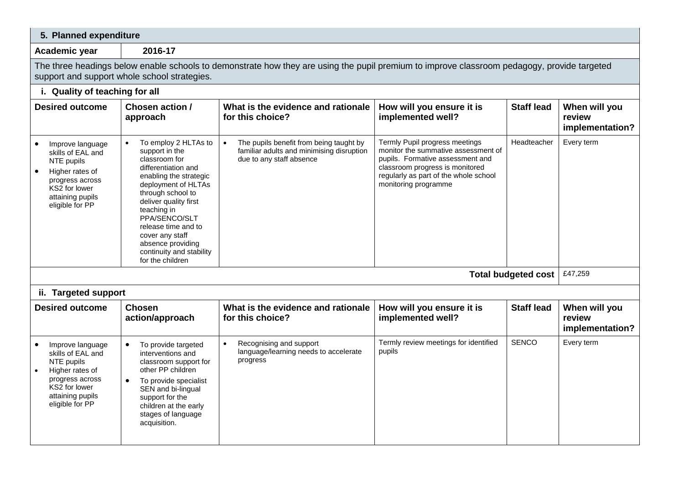| 5. Planned expenditure                                                                                                                                                                      |                                                                                                                                                                                                                                                                                                                                           |                                                                                                                               |                                                                                                                                                                                                               |                   |                                            |  |  |
|---------------------------------------------------------------------------------------------------------------------------------------------------------------------------------------------|-------------------------------------------------------------------------------------------------------------------------------------------------------------------------------------------------------------------------------------------------------------------------------------------------------------------------------------------|-------------------------------------------------------------------------------------------------------------------------------|---------------------------------------------------------------------------------------------------------------------------------------------------------------------------------------------------------------|-------------------|--------------------------------------------|--|--|
| 2016-17<br>Academic year                                                                                                                                                                    |                                                                                                                                                                                                                                                                                                                                           |                                                                                                                               |                                                                                                                                                                                                               |                   |                                            |  |  |
| The three headings below enable schools to demonstrate how they are using the pupil premium to improve classroom pedagogy, provide targeted<br>support and support whole school strategies. |                                                                                                                                                                                                                                                                                                                                           |                                                                                                                               |                                                                                                                                                                                                               |                   |                                            |  |  |
| i. Quality of teaching for all                                                                                                                                                              |                                                                                                                                                                                                                                                                                                                                           |                                                                                                                               |                                                                                                                                                                                                               |                   |                                            |  |  |
| <b>Desired outcome</b>                                                                                                                                                                      | Chosen action /<br>approach                                                                                                                                                                                                                                                                                                               | What is the evidence and rationale<br>for this choice?                                                                        | How will you ensure it is<br>implemented well?                                                                                                                                                                | <b>Staff lead</b> | When will you<br>review<br>implementation? |  |  |
| Improve language<br>skills of EAL and<br>NTE pupils<br>Higher rates of<br>progress across<br>KS2 for lower<br>attaining pupils<br>eligible for PP                                           | To employ 2 HLTAs to<br>$\bullet$<br>support in the<br>classroom for<br>differentiation and<br>enabling the strategic<br>deployment of HLTAs<br>through school to<br>deliver quality first<br>teaching in<br>PPA/SENCO/SLT<br>release time and to<br>cover any staff<br>absence providing<br>continuity and stability<br>for the children | The pupils benefit from being taught by<br>$\bullet$<br>familiar adults and minimising disruption<br>due to any staff absence | Termly Pupil progress meetings<br>monitor the summative assessment of<br>pupils. Formative assessment and<br>classroom progress is monitored<br>regularly as part of the whole school<br>monitoring programme | Headteacher       | Every term                                 |  |  |
| £47,259<br><b>Total budgeted cost</b>                                                                                                                                                       |                                                                                                                                                                                                                                                                                                                                           |                                                                                                                               |                                                                                                                                                                                                               |                   |                                            |  |  |
| ii. Targeted support                                                                                                                                                                        |                                                                                                                                                                                                                                                                                                                                           |                                                                                                                               |                                                                                                                                                                                                               |                   |                                            |  |  |
| <b>Desired outcome</b>                                                                                                                                                                      | <b>Chosen</b><br>action/approach                                                                                                                                                                                                                                                                                                          | What is the evidence and rationale<br>for this choice?                                                                        | How will you ensure it is<br>implemented well?                                                                                                                                                                | <b>Staff lead</b> | When will you<br>review<br>implementation? |  |  |
| Improve language<br>skills of EAL and<br>NTE pupils<br>Higher rates of<br>progress across<br>KS2 for lower<br>attaining pupils<br>eligible for PP                                           | To provide targeted<br>$\bullet$<br>interventions and<br>classroom support for<br>other PP children<br>To provide specialist<br>$\bullet$<br>SEN and bi-lingual<br>support for the<br>children at the early<br>stages of language<br>acquisition.                                                                                         | Recognising and support<br>$\bullet$<br>language/learning needs to accelerate<br>progress                                     | Termly review meetings for identified<br>pupils                                                                                                                                                               | <b>SENCO</b>      | Every term                                 |  |  |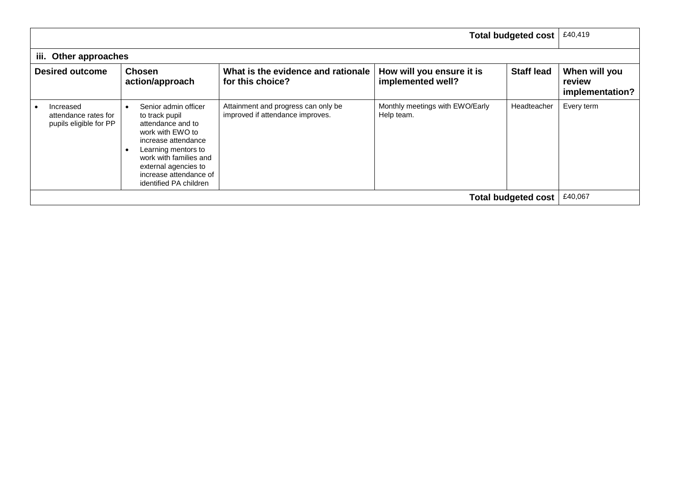|                                                             |                                                                                                                                                                                                                                     |                                                                         |                                                | <b>Total budgeted cost</b> | £40,419                                    |  |  |
|-------------------------------------------------------------|-------------------------------------------------------------------------------------------------------------------------------------------------------------------------------------------------------------------------------------|-------------------------------------------------------------------------|------------------------------------------------|----------------------------|--------------------------------------------|--|--|
|                                                             | iii. Other approaches                                                                                                                                                                                                               |                                                                         |                                                |                            |                                            |  |  |
| <b>Desired outcome</b>                                      | <b>Chosen</b><br>action/approach                                                                                                                                                                                                    | What is the evidence and rationale<br>for this choice?                  | How will you ensure it is<br>implemented well? | <b>Staff lead</b>          | When will you<br>review<br>implementation? |  |  |
| Increased<br>attendance rates for<br>pupils eligible for PP | Senior admin officer<br>to track pupil<br>attendance and to<br>work with EWO to<br>increase attendance<br>Learning mentors to<br>work with families and<br>external agencies to<br>increase attendance of<br>identified PA children | Attainment and progress can only be<br>improved if attendance improves. | Monthly meetings with EWO/Early<br>Help team.  | Headteacher                | Every term                                 |  |  |
| <b>Total budgeted cost</b>                                  |                                                                                                                                                                                                                                     |                                                                         |                                                |                            | £40,067                                    |  |  |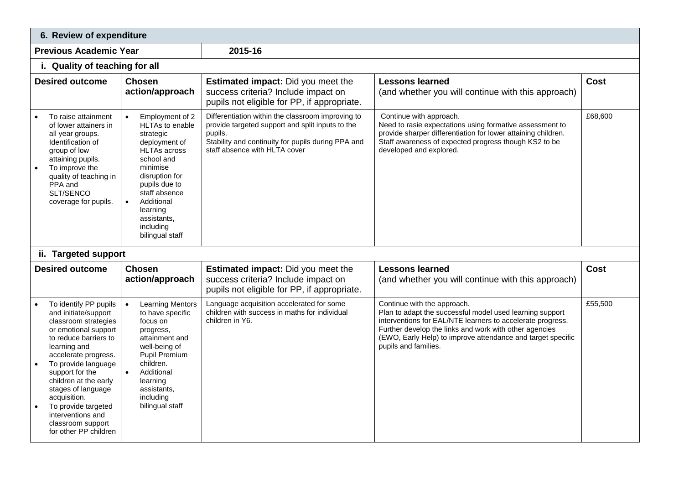| 6. Review of expenditure                                                                                                                                                                                                                                                                                                                                          |                                                                                                                                                                                                                                                                                 |                                                                                                                                                                                                         |                                                                                                                                                                                                                                                                                                        |             |  |  |  |
|-------------------------------------------------------------------------------------------------------------------------------------------------------------------------------------------------------------------------------------------------------------------------------------------------------------------------------------------------------------------|---------------------------------------------------------------------------------------------------------------------------------------------------------------------------------------------------------------------------------------------------------------------------------|---------------------------------------------------------------------------------------------------------------------------------------------------------------------------------------------------------|--------------------------------------------------------------------------------------------------------------------------------------------------------------------------------------------------------------------------------------------------------------------------------------------------------|-------------|--|--|--|
| <b>Previous Academic Year</b>                                                                                                                                                                                                                                                                                                                                     |                                                                                                                                                                                                                                                                                 | 2015-16                                                                                                                                                                                                 |                                                                                                                                                                                                                                                                                                        |             |  |  |  |
| i. Quality of teaching for all                                                                                                                                                                                                                                                                                                                                    |                                                                                                                                                                                                                                                                                 |                                                                                                                                                                                                         |                                                                                                                                                                                                                                                                                                        |             |  |  |  |
| <b>Desired outcome</b>                                                                                                                                                                                                                                                                                                                                            | <b>Chosen</b><br><b>Lessons learned</b><br><b>Estimated impact:</b> Did you meet the<br>action/approach<br>success criteria? Include impact on<br>(and whether you will continue with this approach)<br>pupils not eligible for PP, if appropriate.                             |                                                                                                                                                                                                         | <b>Cost</b>                                                                                                                                                                                                                                                                                            |             |  |  |  |
| To raise attainment<br>of lower attainers in<br>all year groups.<br>Identification of<br>group of low<br>attaining pupils.<br>To improve the<br>quality of teaching in<br>PPA and<br>SLT/SENCO<br>coverage for pupils.                                                                                                                                            | Employment of 2<br>$\bullet$<br><b>HLTAs to enable</b><br>strategic<br>deployment of<br><b>HLTAs across</b><br>school and<br>minimise<br>disruption for<br>pupils due to<br>staff absence<br>Additional<br>$\bullet$<br>learning<br>assistants,<br>including<br>bilingual staff | Differentiation within the classroom improving to<br>provide targeted support and split inputs to the<br>pupils.<br>Stability and continuity for pupils during PPA and<br>staff absence with HLTA cover | Continue with approach.<br>Need to rasie expectations using formative assessment to<br>provide sharper differentiation for lower attaining children.<br>Staff awareness of expected progress though KS2 to be<br>developed and explored.                                                               | £68,600     |  |  |  |
| ii. Targeted support                                                                                                                                                                                                                                                                                                                                              |                                                                                                                                                                                                                                                                                 |                                                                                                                                                                                                         |                                                                                                                                                                                                                                                                                                        |             |  |  |  |
| <b>Desired outcome</b>                                                                                                                                                                                                                                                                                                                                            | <b>Chosen</b><br>action/approach                                                                                                                                                                                                                                                | <b>Estimated impact:</b> Did you meet the<br>success criteria? Include impact on<br>pupils not eligible for PP, if appropriate.                                                                         | <b>Lessons learned</b><br>(and whether you will continue with this approach)                                                                                                                                                                                                                           | <b>Cost</b> |  |  |  |
| To identify PP pupils<br>and initiate/support<br>classroom strategies<br>or emotional support<br>to reduce barriers to<br>learning and<br>accelerate progress.<br>To provide language<br>support for the<br>children at the early<br>stages of language<br>acquisition.<br>To provide targeted<br>interventions and<br>classroom support<br>for other PP children | <b>Learning Mentors</b><br>$\bullet$<br>to have specific<br>focus on<br>progress,<br>attainment and<br>well-being of<br>Pupil Premium<br>children.<br>Additional<br>$\bullet$<br>learning<br>assistants,<br>including<br>bilingual staff                                        | Language acquisition accelerated for some<br>children with success in maths for individual<br>children in Y6.                                                                                           | Continue with the approach.<br>Plan to adapt the successful model used learning support<br>interventions for EAL/NTE learners to accelerate progress.<br>Further develop the links and work with other agencies<br>(EWO, Early Help) to improve attendance and target specific<br>pupils and families. | £55,500     |  |  |  |